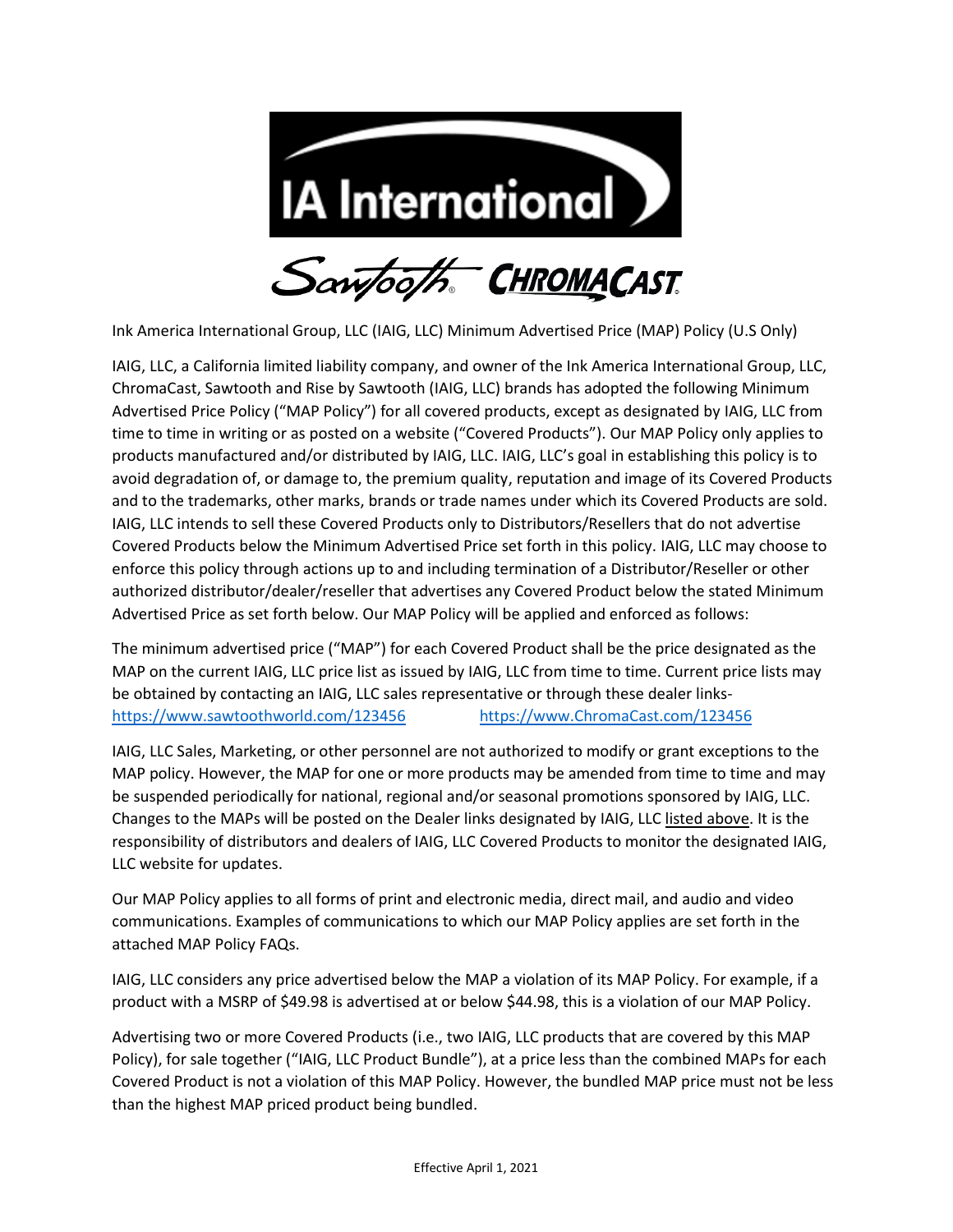

Ink America International Group, LLC (IAIG, LLC) Minimum Advertised Price (MAP) Policy (U.S Only)

IAIG, LLC, a California limited liability company, and owner of the Ink America International Group, LLC, ChromaCast, Sawtooth and Rise by Sawtooth (IAIG, LLC) brands has adopted the following Minimum Advertised Price Policy ("MAP Policy") for all covered products, except as designated by IAIG, LLC from time to time in writing or as posted on a website ("Covered Products"). Our MAP Policy only applies to products manufactured and/or distributed by IAIG, LLC. IAIG, LLC's goal in establishing this policy is to avoid degradation of, or damage to, the premium quality, reputation and image of its Covered Products and to the trademarks, other marks, brands or trade names under which its Covered Products are sold. IAIG, LLC intends to sell these Covered Products only to Distributors/Resellers that do not advertise Covered Products below the Minimum Advertised Price set forth in this policy. IAIG, LLC may choose to enforce this policy through actions up to and including termination of a Distributor/Reseller or other authorized distributor/dealer/reseller that advertises any Covered Product below the stated Minimum Advertised Price as set forth below. Our MAP Policy will be applied and enforced as follows:

The minimum advertised price ("MAP") for each Covered Product shall be the price designated as the MAP on the current IAIG, LLC price list as issued by IAIG, LLC from time to time. Current price lists may be obtained by contacting an IAIG, LLC sales representative or through these dealer links<https://www.sawtoothworld.com/123456>[https://www.ChromaCast.com/123456](https://www.chromacast.com/123456)

IAIG, LLC Sales, Marketing, or other personnel are not authorized to modify or grant exceptions to the MAP policy. However, the MAP for one or more products may be amended from time to time and may be suspended periodically for national, regional and/or seasonal promotions sponsored by IAIG, LLC. Changes to the MAPs will be posted on the Dealer links designated by IAIG, LLC listed above. It is the responsibility of distributors and dealers of IAIG, LLC Covered Products to monitor the designated IAIG, LLC website for updates.

Our MAP Policy applies to all forms of print and electronic media, direct mail, and audio and video communications. Examples of communications to which our MAP Policy applies are set forth in the attached MAP Policy FAQs.

IAIG, LLC considers any price advertised below the MAP a violation of its MAP Policy. For example, if a product with a MSRP of \$49.98 is advertised at or below \$44.98, this is a violation of our MAP Policy.

Advertising two or more Covered Products (i.e., two IAIG, LLC products that are covered by this MAP Policy), for sale together ("IAIG, LLC Product Bundle"), at a price less than the combined MAPs for each Covered Product is not a violation of this MAP Policy. However, the bundled MAP price must not be less than the highest MAP priced product being bundled.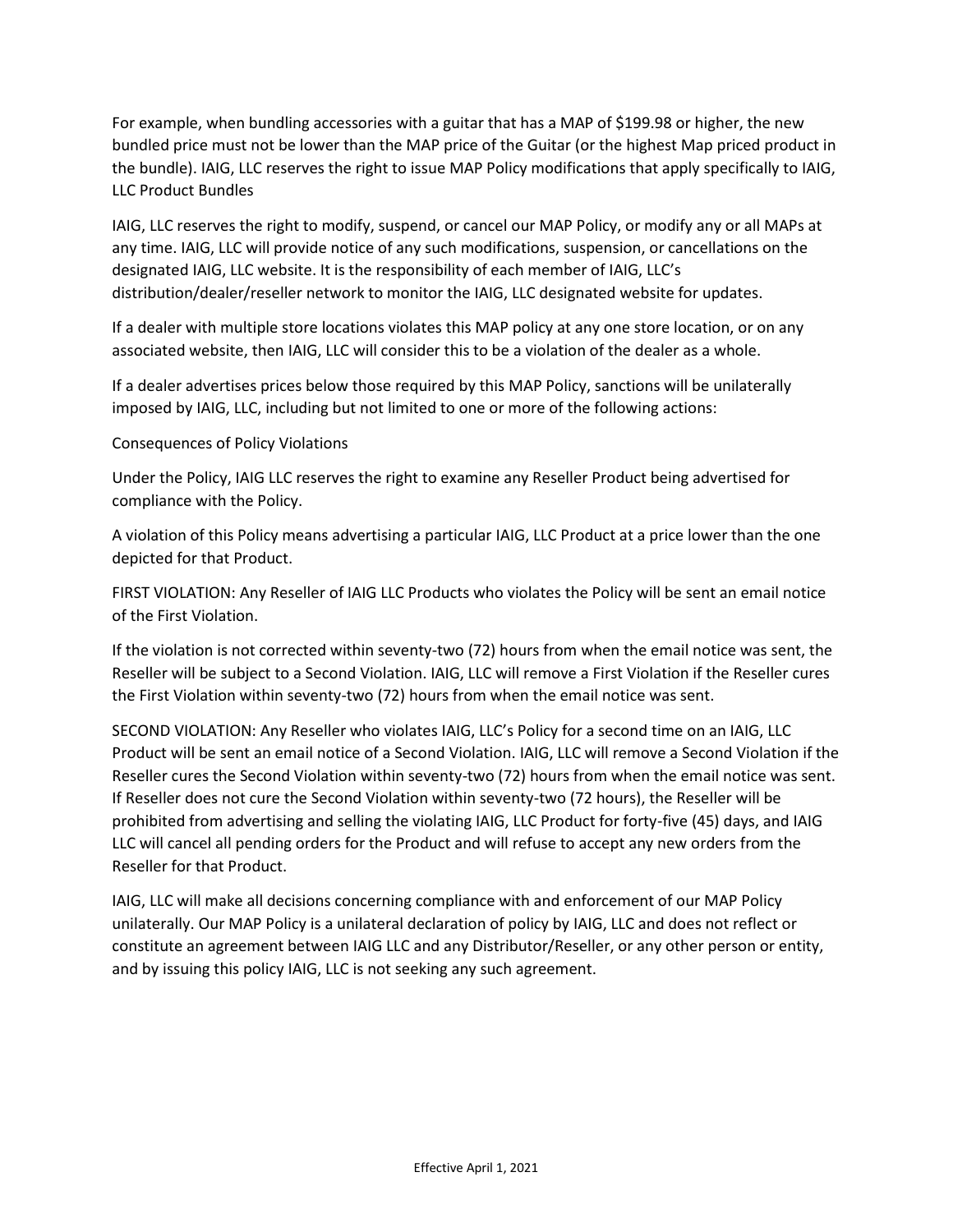For example, when bundling accessories with a guitar that has a MAP of \$199.98 or higher, the new bundled price must not be lower than the MAP price of the Guitar (or the highest Map priced product in the bundle). IAIG, LLC reserves the right to issue MAP Policy modifications that apply specifically to IAIG, LLC Product Bundles

IAIG, LLC reserves the right to modify, suspend, or cancel our MAP Policy, or modify any or all MAPs at any time. IAIG, LLC will provide notice of any such modifications, suspension, or cancellations on the designated IAIG, LLC website. It is the responsibility of each member of IAIG, LLC's distribution/dealer/reseller network to monitor the IAIG, LLC designated website for updates.

If a dealer with multiple store locations violates this MAP policy at any one store location, or on any associated website, then IAIG, LLC will consider this to be a violation of the dealer as a whole.

If a dealer advertises prices below those required by this MAP Policy, sanctions will be unilaterally imposed by IAIG, LLC, including but not limited to one or more of the following actions:

## Consequences of Policy Violations

Under the Policy, IAIG LLC reserves the right to examine any Reseller Product being advertised for compliance with the Policy.

A violation of this Policy means advertising a particular IAIG, LLC Product at a price lower than the one depicted for that Product.

FIRST VIOLATION: Any Reseller of IAIG LLC Products who violates the Policy will be sent an email notice of the First Violation.

If the violation is not corrected within seventy-two (72) hours from when the email notice was sent, the Reseller will be subject to a Second Violation. IAIG, LLC will remove a First Violation if the Reseller cures the First Violation within seventy-two (72) hours from when the email notice was sent.

SECOND VIOLATION: Any Reseller who violates IAIG, LLC's Policy for a second time on an IAIG, LLC Product will be sent an email notice of a Second Violation. IAIG, LLC will remove a Second Violation if the Reseller cures the Second Violation within seventy-two (72) hours from when the email notice was sent. If Reseller does not cure the Second Violation within seventy-two (72 hours), the Reseller will be prohibited from advertising and selling the violating IAIG, LLC Product for forty-five (45) days, and IAIG LLC will cancel all pending orders for the Product and will refuse to accept any new orders from the Reseller for that Product.

IAIG, LLC will make all decisions concerning compliance with and enforcement of our MAP Policy unilaterally. Our MAP Policy is a unilateral declaration of policy by IAIG, LLC and does not reflect or constitute an agreement between IAIG LLC and any Distributor/Reseller, or any other person or entity, and by issuing this policy IAIG, LLC is not seeking any such agreement.